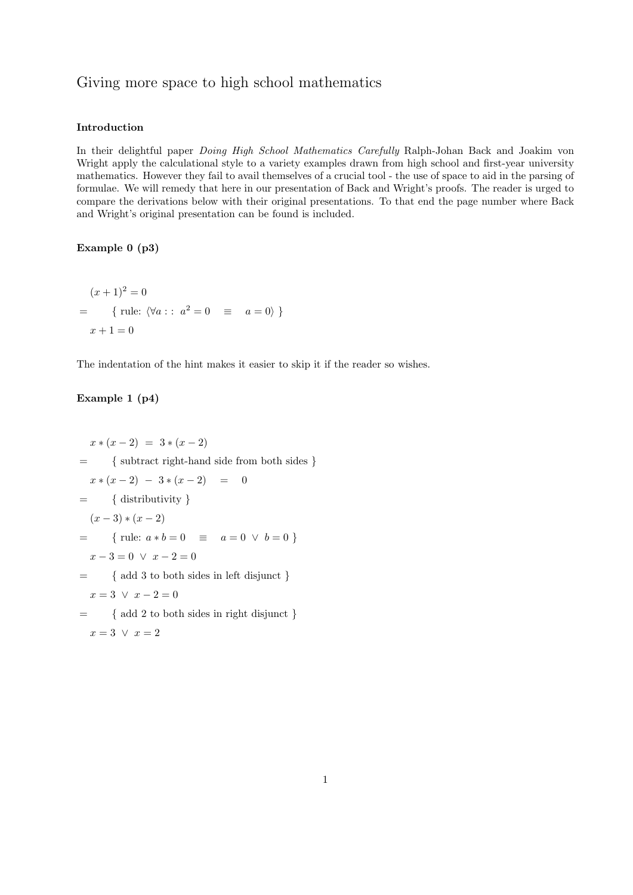## Giving more space to high school mathematics

#### Introduction

In their delightful paper Doing High School Mathematics Carefully Ralph-Johan Back and Joakim von Wright apply the calculational style to a variety examples drawn from high school and first-year university mathematics. However they fail to avail themselves of a crucial tool - the use of space to aid in the parsing of formulae. We will remedy that here in our presentation of Back and Wright's proofs. The reader is urged to compare the derivations below with their original presentations. To that end the page number where Back and Wright's original presentation can be found is included.

#### Example 0 (p3)

$$
(x + 1)^{2} = 0
$$
  
= { rule:  $\langle \forall a : : a^{2} = 0 \equiv a = 0 \rangle$  }  
 $x + 1 = 0$ 

The indentation of the hint makes it easier to skip it if the reader so wishes.

## Example 1 (p4)

```
x * (x - 2) = 3 * (x - 2)= { subtract right-hand side from both sides }
 x * (x - 2) - 3 * (x - 2) = 0= { distributivity }
  (x-3)*(x-2)= { rule: a * b = 0 = a = 0 \vee b = 0}
 x - 3 = 0 \lor x - 2 = 0= { add 3 to both sides in left disjunct }
 x = 3 \lor x - 2 = 0= { add 2 to both sides in right disjunct }
 x=3 \vee x=2
```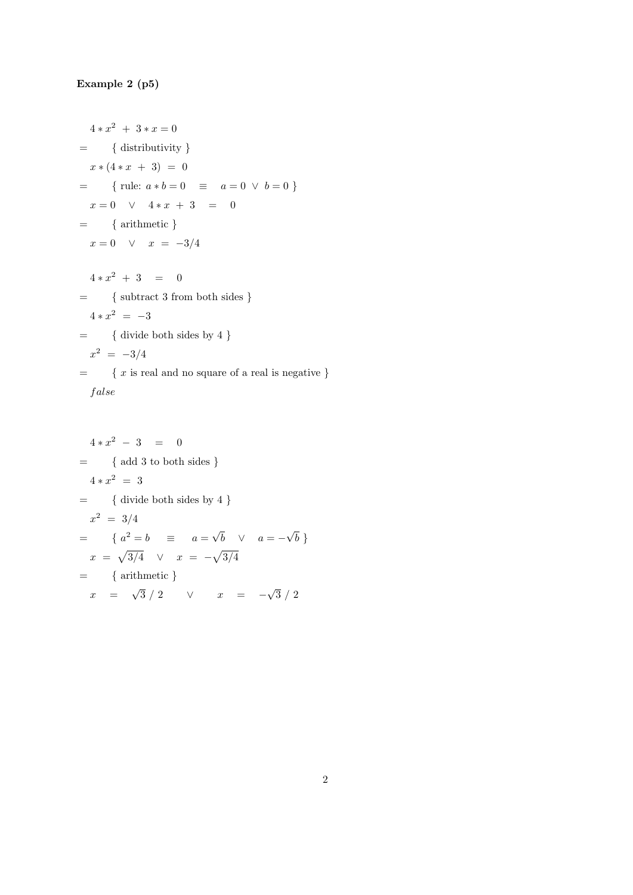# Example 2 (p5)

$$
4 * x2 + 3 * x = 0
$$
  
= { distributivity }  
 $x * (4 * x + 3) = 0$   
= { rule:  $a * b = 0$   $\equiv a = 0 \lor b = 0$  }  
 $x = 0 \lor 4 * x + 3 = 0$   
= { arithmetic }  
 $x = 0 \lor x = -3/4$   
 $4 * x2 + 3 = 0$   
= { subtract 3 from both sides }  
 $4 * x2 = -3$   
= { divide both sides by 4 }  
 $x2 = -3/4$   
= { x is real and no square of a real is negative }  
*false*

$$
4 * x2 - 3 = 0
$$
  
= { add 3 to both sides }  

$$
4 * x2 = 3
$$
  
= { divide both sides by 4 }  

$$
x2 = 3/4
$$
  
= {  $a2 = b$  =  $a = \sqrt{b}$   $\vee$   $a = -\sqrt{b}$  }  

$$
x = \sqrt{3/4} \qquad x = -\sqrt{3/4}
$$
  
= { arithmetic }  

$$
x = \sqrt{3}/2 \qquad \vee \qquad x = -\sqrt{3}/2
$$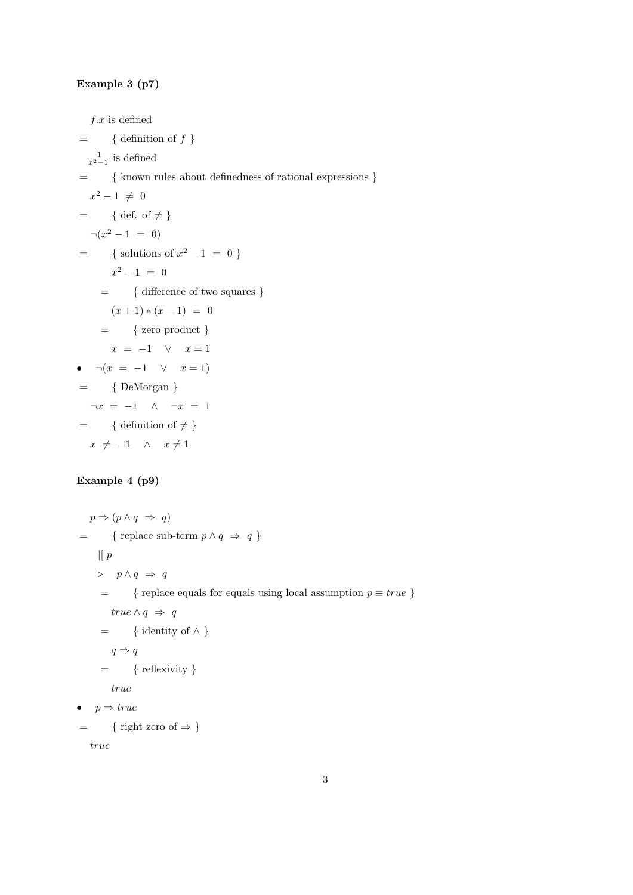#### Example 3 (p7)

 $f.x$  is defined

 $=$  { definition of f}  $\frac{1}{x^2-1}$  is defined = { known rules about definedness of rational expressions }  $x^2 - 1 \neq 0$  $=$  { def. of  $\neq$  }  $\neg(x^2-1 = 0)$  $=$  { solutions of  $x^2 - 1 = 0$ }  $x^2 - 1 = 0$ = { difference of two squares }  $(x+1)*(x-1) = 0$  $=$  { zero product }  $x = -1 \quad \vee \quad x = 1$ •  $\neg(x = -1 \lor x = 1)$  $=$  { DeMorgan }  $\neg x = -1 \land \neg x = 1$  $=$  { definition of  $\neq$  }  $x \neq -1 \quad \wedge \quad x \neq 1$ 

### Example 4 (p9)

```
p \Rightarrow (p \land q \Rightarrow q)= { replace sub-term p \wedge q \Rightarrow q }
     \mathcal{L}[p]\triangleright \quad p \wedge q \;\Rightarrow\; q= { replace equals for equals using local assumption p \equiv true }
          true \land q \Rightarrow q= { identity of \wedge }
          q \Rightarrow q= { reflexivity }
          true
• p \Rightarrow true= { right zero of \Rightarrow }
```
true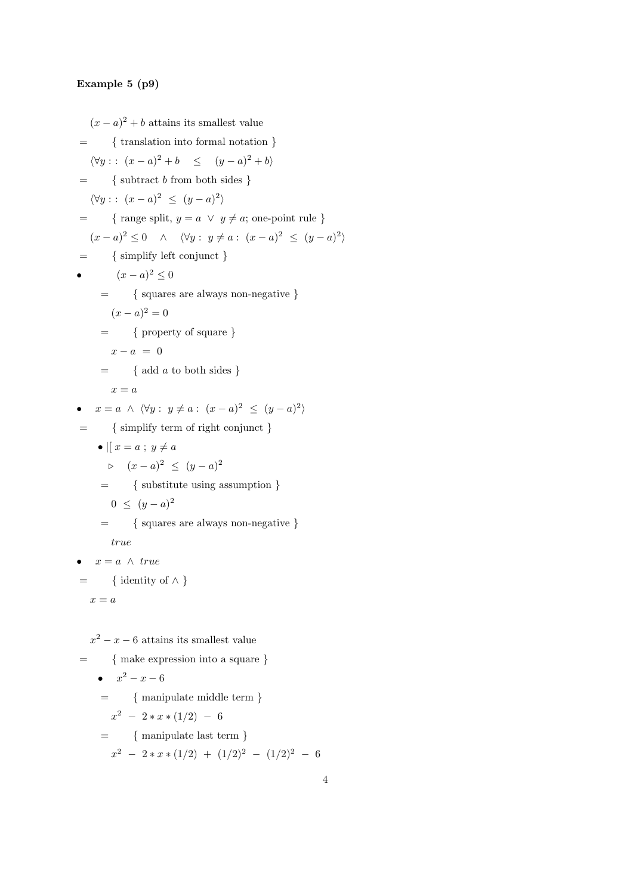#### Example 5 (p9)

 $(x-a)^2 + b$  attains its smallest value = { translation into formal notation }  $\langle \forall y : : (x-a)^2 + b \le (y-a)^2 + b \rangle$  $=$  { subtract b from both sides }  $\langle \forall y : : (x-a)^2 \le (y-a)^2 \rangle$  $=$  { range split,  $y = a \lor y \neq a$ ; one-point rule }  $(x-a)^2 \leq 0 \quad \wedge \quad \langle \forall y : y \neq a : (x-a)^2 \leq (y-a)^2 \rangle$  $= \quad \quad \{ \text{ simplify left conjunct } \}$ •  $(x-a)^2 \le 0$ = { squares are always non-negative }  $(x-a)^2=0$  $=$  { property of square }  $x - a = 0$  $=$  { add *a* to both sides }  $x = a$ •  $x = a \land \langle \forall y : y \neq a : (x - a)^2 \leq (y - a)^2 \rangle$ = { simplify term of right conjunct } •  $\parallel x = a$ ;  $y \neq a$  $\triangleright$   $(x - a)^2$  ≤  $(y - a)^2$ = { substitute using assumption }  $0 \leq (y-a)^2$ = { squares are always non-negative } true •  $x = a \land true$  $=$  { identity of  $\wedge$  }  $x = a$  $x^2 - x - 6$  attains its smallest value

= { make expression into a square}  
\n• 
$$
x^2 - x - 6
$$
  
\n= { manipulate middle term}  
\n $x^2 - 2*x*(1/2) - 6$   
\n= { manipulate last term}  
\n $x^2 - 2*x*(1/2) + (1/2)^2 - (1/2)^2 - 6$ 

4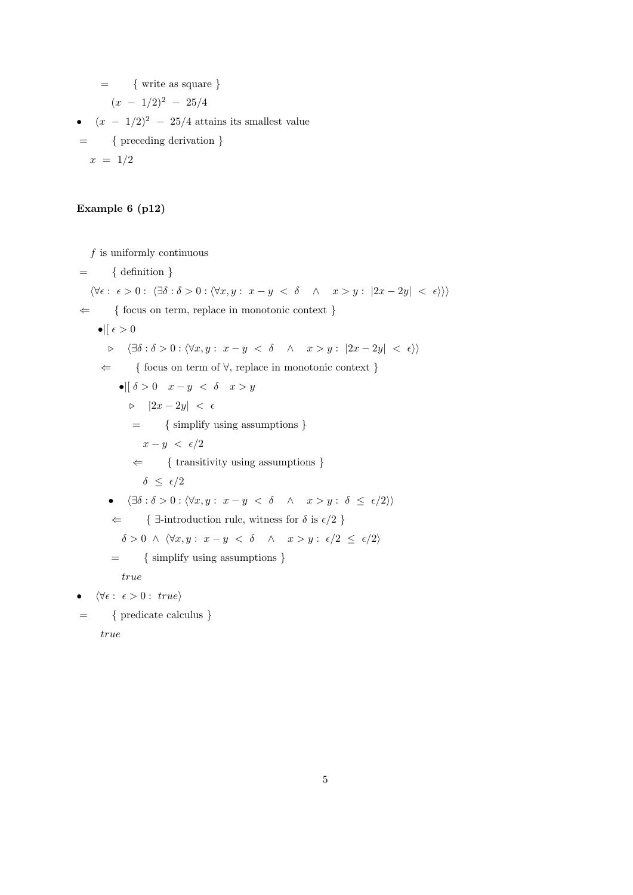$=$  { write as square }

$$
(x - 1/2)^2 - 25/4
$$

- $(x 1/2)^2$  25/4 attains its smallest value
- = { preceding derivation }  $x = 1/2$

## Example 6 (p12)

 $f$  is uniformly continuous

 $=$  { definition }  $\langle \forall \epsilon : \epsilon > 0 : \langle \exists \delta : \delta > 0 : \langle \forall x, y : x - y \langle \delta \land x > y : |2x - 2y| \langle \epsilon \rangle \rangle \rangle$  $\Leftarrow$  { focus on term, replace in monotonic context }  $\bullet$ | $\epsilon > 0$  $\triangleright \quad \langle \exists \delta : \delta > 0 : \langle \forall x, y : x - y \prec \delta \quad \wedge \quad x > y : |2x - 2y| \prec \epsilon \rangle \rangle$ ⇐ { focus on term of ∀, replace in monotonic context }  $\bullet$ ||  $\delta > 0$   $x - y < \delta$   $x > y$  $|2x - 2y| < \epsilon$ = { simplify using assumptions }  $x - y < \epsilon/2$  $\Leftarrow$  { transitivity using assumptions }  $\delta \leq \epsilon/2$ •  $\langle \exists \delta : \delta > 0 : \langle \forall x, y : x - y \leq \delta \quad \wedge \quad x > y : \delta \leq \epsilon/2 \rangle \rangle$  $\Leftarrow$  {  $\exists$ -introduction rule, witness for  $\delta$  is  $\epsilon/2$  }  $\delta > 0 \ \land \ \langle \forall x, y : x - y \ < \ \delta \quad \land \quad x > y : \ \epsilon/2 \ \leq \ \epsilon/2 \rangle$ = { simplify using assumptions } true  $\forall \epsilon : \epsilon > 0 : \text{ true}$ = { predicate calculus }

true